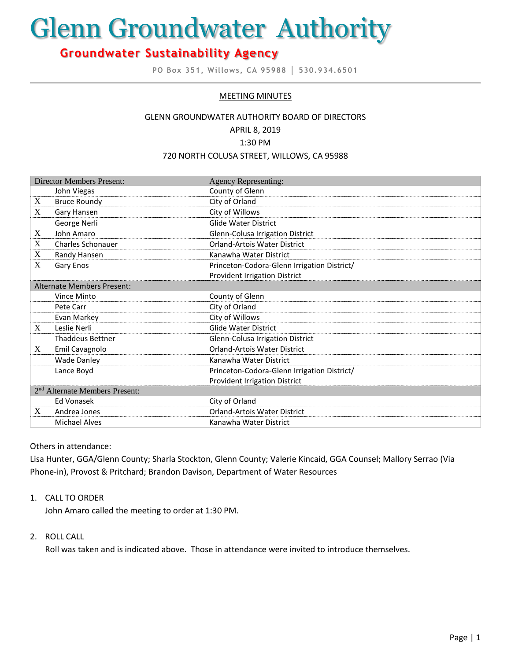# Glenn Groundwater Authority

# **Groundwater Sustainability Agency**

**PO Box 351, Willows, CA 95988 │ 530.934.6501**

#### MEETING MINUTES

#### GLENN GROUNDWATER AUTHORITY BOARD OF DIRECTORS

APRIL 8, 2019

1:30 PM

#### 720 NORTH COLUSA STREET, WILLOWS, CA 95988

| <b>Director Members Present:</b>           |                          | <b>Agency Representing:</b>                 |
|--------------------------------------------|--------------------------|---------------------------------------------|
|                                            | John Viegas              | County of Glenn                             |
| X                                          | <b>Bruce Roundy</b>      | City of Orland                              |
| X                                          | Gary Hansen              | City of Willows                             |
|                                            | George Nerli             | <b>Glide Water District</b>                 |
| X                                          | John Amaro               | Glenn-Colusa Irrigation District            |
| X                                          | <b>Charles Schonauer</b> | <b>Orland-Artois Water District</b>         |
| X                                          | Randy Hansen             | Kanawha Water District                      |
| X                                          | Gary Enos                | Princeton-Codora-Glenn Irrigation District/ |
|                                            |                          | <b>Provident Irrigation District</b>        |
| <b>Alternate Members Present:</b>          |                          |                                             |
|                                            | Vince Minto              | County of Glenn                             |
|                                            | Pete Carr                | City of Orland                              |
|                                            | Evan Markey              | City of Willows                             |
| X                                          | Leslie Nerli             | <b>Glide Water District</b>                 |
|                                            | <b>Thaddeus Bettner</b>  | Glenn-Colusa Irrigation District            |
| X                                          | Emil Cavagnolo           | <b>Orland-Artois Water District</b>         |
|                                            | <b>Wade Danley</b>       | Kanawha Water District                      |
|                                            | Lance Boyd               | Princeton-Codora-Glenn Irrigation District/ |
|                                            |                          | <b>Provident Irrigation District</b>        |
| 2 <sup>nd</sup> Alternate Members Present: |                          |                                             |
|                                            | Ed Vonasek               | City of Orland                              |
| X                                          | Andrea Jones             | Orland-Artois Water District                |
|                                            | <b>Michael Alves</b>     | Kanawha Water District                      |

#### Others in attendance:

Lisa Hunter, GGA/Glenn County; Sharla Stockton, Glenn County; Valerie Kincaid, GGA Counsel; Mallory Serrao (Via Phone-in), Provost & Pritchard; Brandon Davison, Department of Water Resources

#### 1. CALL TO ORDER

John Amaro called the meeting to order at 1:30 PM.

# 2. ROLL CALL

Roll was taken and is indicated above. Those in attendance were invited to introduce themselves.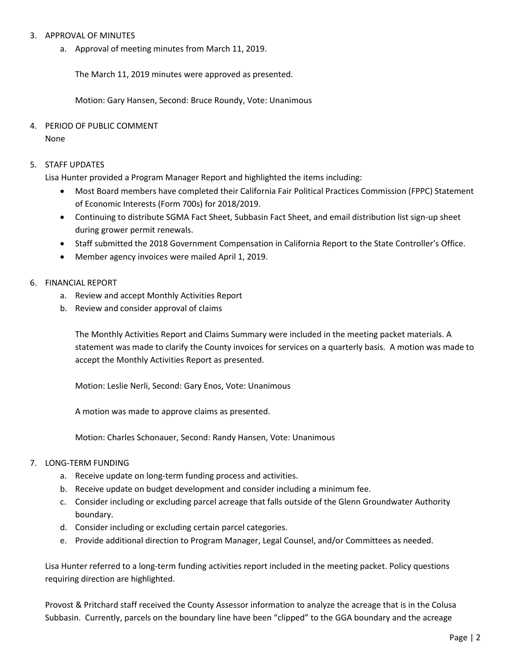## 3. APPROVAL OF MINUTES

a. Approval of meeting minutes from March 11, 2019.

The March 11, 2019 minutes were approved as presented.

Motion: Gary Hansen, Second: Bruce Roundy, Vote: Unanimous

# 4. PERIOD OF PUBLIC COMMENT

None

# 5. STAFF UPDATES

Lisa Hunter provided a Program Manager Report and highlighted the items including:

- Most Board members have completed their California Fair Political Practices Commission (FPPC) Statement of Economic Interests (Form 700s) for 2018/2019.
- Continuing to distribute SGMA Fact Sheet, Subbasin Fact Sheet, and email distribution list sign-up sheet during grower permit renewals.
- Staff submitted the 2018 Government Compensation in California Report to the State Controller's Office.
- Member agency invoices were mailed April 1, 2019.

#### 6. FINANCIAL REPORT

- a. Review and accept Monthly Activities Report
- b. Review and consider approval of claims

The Monthly Activities Report and Claims Summary were included in the meeting packet materials. A statement was made to clarify the County invoices for services on a quarterly basis. A motion was made to accept the Monthly Activities Report as presented.

Motion: Leslie Nerli, Second: Gary Enos, Vote: Unanimous

A motion was made to approve claims as presented.

Motion: Charles Schonauer, Second: Randy Hansen, Vote: Unanimous

# 7. LONG-TERM FUNDING

- a. Receive update on long-term funding process and activities.
- b. Receive update on budget development and consider including a minimum fee.
- c. Consider including or excluding parcel acreage that falls outside of the Glenn Groundwater Authority boundary.
- d. Consider including or excluding certain parcel categories.
- e. Provide additional direction to Program Manager, Legal Counsel, and/or Committees as needed.

Lisa Hunter referred to a long-term funding activities report included in the meeting packet. Policy questions requiring direction are highlighted.

Provost & Pritchard staff received the County Assessor information to analyze the acreage that is in the Colusa Subbasin. Currently, parcels on the boundary line have been "clipped" to the GGA boundary and the acreage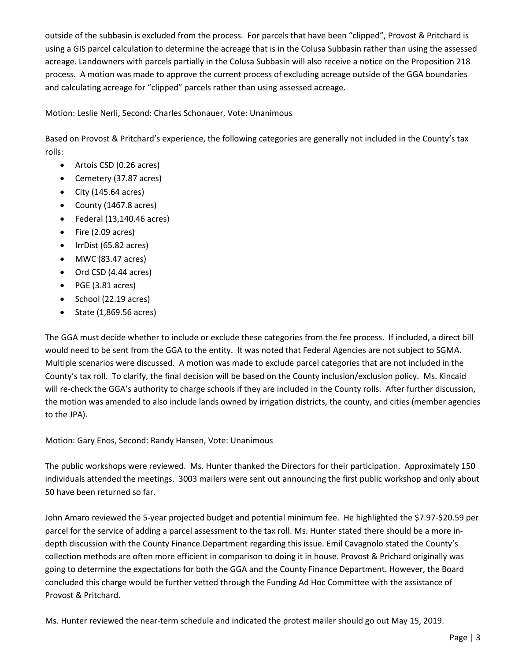outside of the subbasin is excluded from the process. For parcels that have been "clipped", Provost & Pritchard is using a GIS parcel calculation to determine the acreage that is in the Colusa Subbasin rather than using the assessed acreage. Landowners with parcels partially in the Colusa Subbasin will also receive a notice on the Proposition 218 process. A motion was made to approve the current process of excluding acreage outside of the GGA boundaries and calculating acreage for "clipped" parcels rather than using assessed acreage.

Motion: Leslie Nerli, Second: Charles Schonauer, Vote: Unanimous

Based on Provost & Pritchard's experience, the following categories are generally not included in the County's tax rolls:

- Artois CSD (0.26 acres)
- Cemetery (37.87 acres)
- $\bullet$  City (145.64 acres)
- County (1467.8 acres)
- $\bullet$  Federal (13,140.46 acres)
- Fire (2.09 acres)
- IrrDist (65.82 acres)
- MWC (83.47 acres)
- Ord CSD (4.44 acres)
- PGE (3.81 acres)
- $\bullet$  School (22.19 acres)
- State (1,869.56 acres)

The GGA must decide whether to include or exclude these categories from the fee process. If included, a direct bill would need to be sent from the GGA to the entity. It was noted that Federal Agencies are not subject to SGMA. Multiple scenarios were discussed. A motion was made to exclude parcel categories that are not included in the County's tax roll. To clarify, the final decision will be based on the County inclusion/exclusion policy. Ms. Kincaid will re-check the GGA's authority to charge schools if they are included in the County rolls. After further discussion, the motion was amended to also include lands owned by irrigation districts, the county, and cities (member agencies to the JPA).

Motion: Gary Enos, Second: Randy Hansen, Vote: Unanimous

The public workshops were reviewed. Ms. Hunter thanked the Directors for their participation. Approximately 150 individuals attended the meetings. 3003 mailers were sent out announcing the first public workshop and only about 50 have been returned so far.

John Amaro reviewed the 5-year projected budget and potential minimum fee. He highlighted the \$7.97-\$20.59 per parcel for the service of adding a parcel assessment to the tax roll. Ms. Hunter stated there should be a more indepth discussion with the County Finance Department regarding this issue. Emil Cavagnolo stated the County's collection methods are often more efficient in comparison to doing it in house. Provost & Prichard originally was going to determine the expectations for both the GGA and the County Finance Department. However, the Board concluded this charge would be further vetted through the Funding Ad Hoc Committee with the assistance of Provost & Pritchard.

Ms. Hunter reviewed the near-term schedule and indicated the protest mailer should go out May 15, 2019.